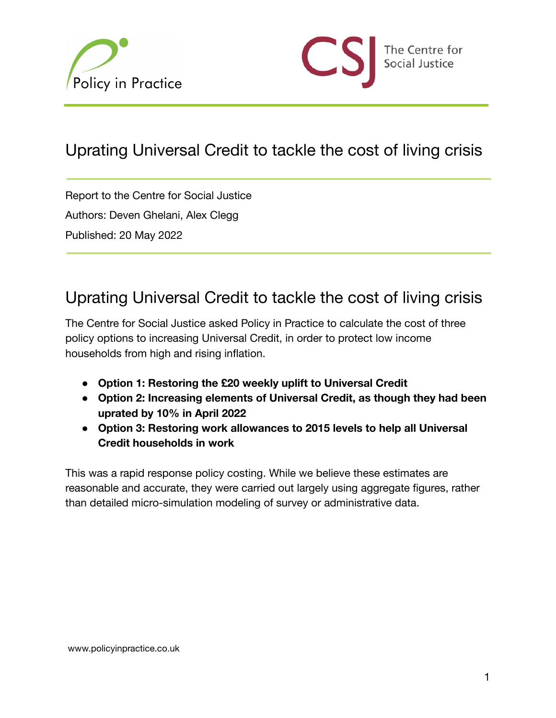



## Uprating Universal Credit to tackle the cost of living crisis

Report to the Centre for Social Justice Authors: Deven Ghelani, Alex Clegg Published: 20 May 2022

## Uprating Universal Credit to tackle the cost of living crisis

The Centre for Social Justice asked Policy in Practice to calculate the cost of three policy options to increasing Universal Credit, in order to protect low income households from high and rising inflation.

- **Option 1: Restoring the £20 weekly uplift to Universal Credit**
- **Option 2: Increasing elements of Universal Credit, as though they had been uprated by 10% in April 2022**
- **Option 3: Restoring work allowances to 2015 levels to help all Universal Credit households in work**

This was a rapid response policy costing. While we believe these estimates are reasonable and accurate, they were carried out largely using aggregate figures, rather than detailed micro-simulation modeling of survey or administrative data.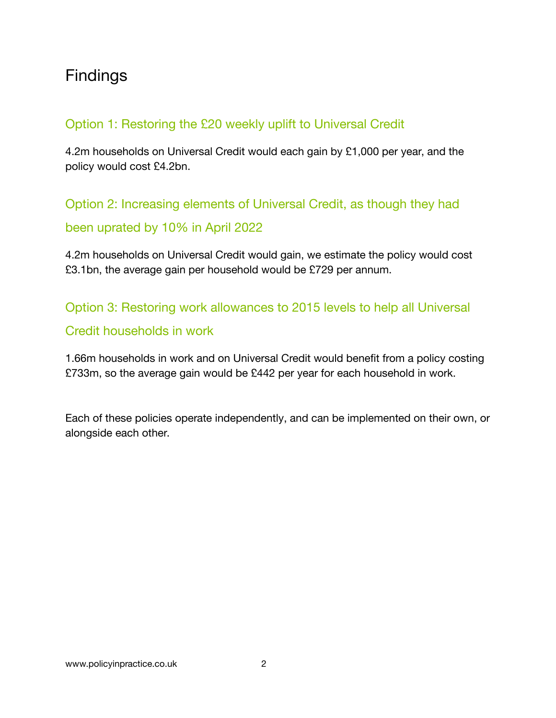# Findings

#### Option 1: Restoring the £20 weekly uplift to Universal Credit

4.2m households on Universal Credit would each gain by £1,000 per year, and the policy would cost £4.2bn.

Option 2: Increasing elements of Universal Credit, as though they had been uprated by 10% in April 2022

4.2m households on Universal Credit would gain, we estimate the policy would cost £3.1bn, the average gain per household would be £729 per annum.

Option 3: Restoring work allowances to 2015 levels to help all Universal Credit households in work

1.66m households in work and on Universal Credit would benefit from a policy costing £733m, so the average gain would be £442 per year for each household in work.

Each of these policies operate independently, and can be implemented on their own, or alongside each other.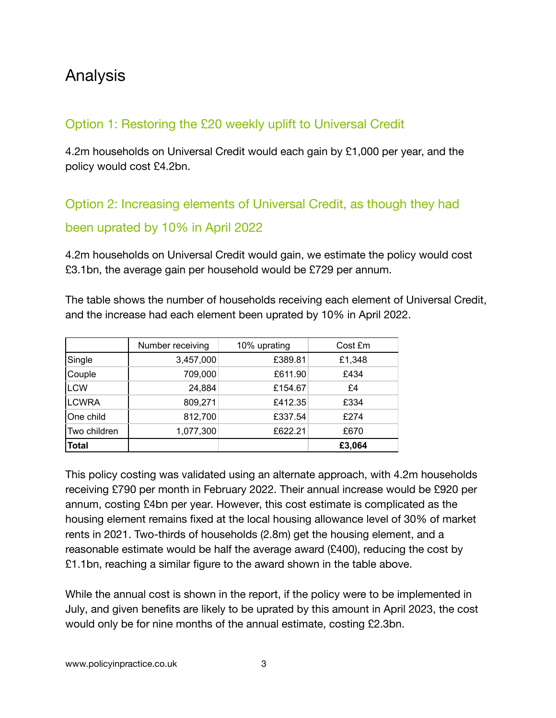## Analysis

#### Option 1: Restoring the £20 weekly uplift to Universal Credit

4.2m households on Universal Credit would each gain by £1,000 per year, and the policy would cost £4.2bn.

## Option 2: Increasing elements of Universal Credit, as though they had been uprated by 10% in April 2022

4.2m households on Universal Credit would gain, we estimate the policy would cost £3.1bn, the average gain per household would be £729 per annum.

The table shows the number of households receiving each element of Universal Credit, and the increase had each element been uprated by 10% in April 2022.

|              | Number receiving | 10% uprating | Cost £m |  |
|--------------|------------------|--------------|---------|--|
| Single       | 3,457,000        | £389.81      | £1,348  |  |
| Couple       | 709,000          | £611.90      | £434    |  |
| <b>LCW</b>   | 24,884           | £154.67      | £4      |  |
| <b>LCWRA</b> | 809,271          | £412.35      | £334    |  |
| One child    | 812,700          | £337.54      | £274    |  |
| Two children | 1,077,300        | £622.21      | £670    |  |
| <b>Total</b> |                  |              | £3,064  |  |

This policy costing was validated using an alternate approach, with 4.2m households receiving £790 per month in February 2022. Their annual increase would be £920 per annum, costing £4bn per year. However, this cost estimate is complicated as the housing element remains fixed at the local housing allowance level of 30% of market rents in 2021. Two-thirds of households (2.8m) get the housing element, and a reasonable estimate would be half the average award (£400), reducing the cost by £1.1bn, reaching a similar figure to the award shown in the table above.

While the annual cost is shown in the report, if the policy were to be implemented in July, and given benefits are likely to be uprated by this amount in April 2023, the cost would only be for nine months of the annual estimate, costing £2.3bn.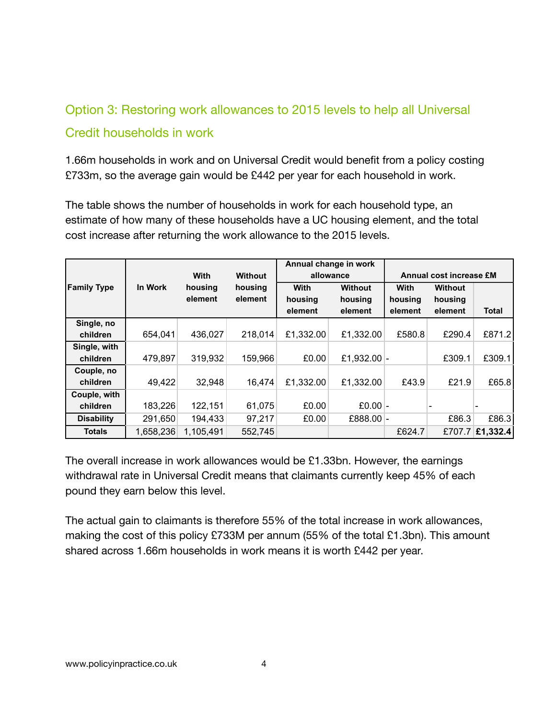#### Option 3: Restoring work allowances to 2015 levels to help all Universal

#### Credit households in work

1.66m households in work and on Universal Credit would benefit from a policy costing £733m, so the average gain would be £442 per year for each household in work.

The table shows the number of households in work for each household type, an estimate of how many of these households have a UC housing element, and the total cost increase after returning the work allowance to the 2015 levels.

|                    |           |           |                |           | Annual change in work |                                |         |                          |
|--------------------|-----------|-----------|----------------|-----------|-----------------------|--------------------------------|---------|--------------------------|
|                    |           | With      | <b>Without</b> | allowance |                       | <b>Annual cost increase £M</b> |         |                          |
| <b>Family Type</b> | In Work   | housing   | housing        | With      | <b>Without</b>        | With                           | Without |                          |
|                    |           | element   | element        | housing   | housing               | housing                        | housing |                          |
|                    |           |           |                | element   | element               | element                        | element | <b>Total</b>             |
| Single, no         |           |           |                |           |                       |                                |         |                          |
| children           | 654,041   | 436,027   | 218,014        | £1,332.00 | £1,332.00             | £580.8                         | £290.4  | £871.2                   |
| Single, with       |           |           |                |           |                       |                                |         |                          |
| children           | 479,897   | 319,932   | 159,966        | £0.00     | £1,932.00 $\vert$ -   |                                | £309.1  | £309.1                   |
| Couple, no         |           |           |                |           |                       |                                |         |                          |
| children           | 49,422    | 32,948    | 16,474         | £1,332.00 | £1,332.00             | £43.9                          | £21.9   | £65.8                    |
| Couple, with       |           |           |                |           |                       |                                |         |                          |
| children           | 183,226   | 122,151   | 61,075         | £0.00     | £0.00 $\vert$ -       |                                |         | $\overline{\phantom{a}}$ |
| <b>Disability</b>  | 291,650   | 194,433   | 97,217         | £0.00     | £888.00 -             |                                | £86.3   | £86.3                    |
| <b>Totals</b>      | 1,658,236 | 1,105,491 | 552,745        |           |                       | £624.7                         |         | £707.7 £1,332.4          |

The overall increase in work allowances would be £1.33bn. However, the earnings withdrawal rate in Universal Credit means that claimants currently keep 45% of each pound they earn below this level.

The actual gain to claimants is therefore 55% of the total increase in work allowances, making the cost of this policy £733M per annum (55% of the total £1.3bn). This amount shared across 1.66m households in work means it is worth £442 per year.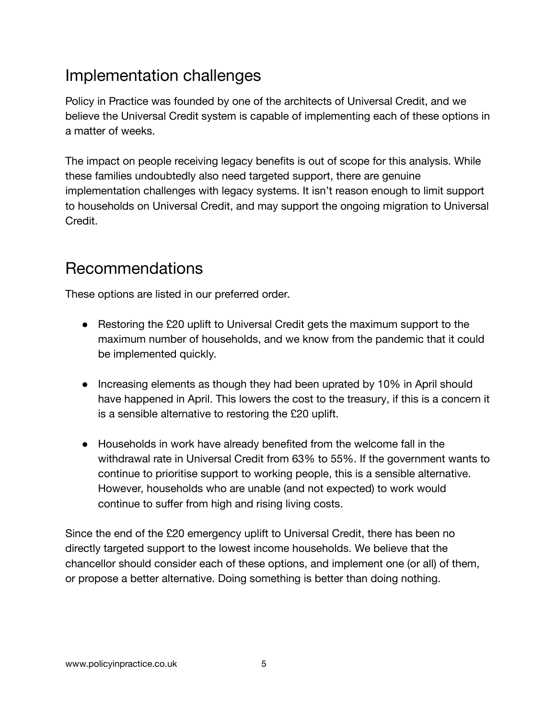# Implementation challenges

Policy in Practice was founded by one of the architects of Universal Credit, and we believe the Universal Credit system is capable of implementing each of these options in a matter of weeks.

The impact on people receiving legacy benefits is out of scope for this analysis. While these families undoubtedly also need targeted support, there are genuine implementation challenges with legacy systems. It isn't reason enough to limit support to households on Universal Credit, and may support the ongoing migration to Universal Credit.

## Recommendations

These options are listed in our preferred order.

- Restoring the £20 uplift to Universal Credit gets the maximum support to the maximum number of households, and we know from the pandemic that it could be implemented quickly.
- Increasing elements as though they had been uprated by 10% in April should have happened in April. This lowers the cost to the treasury, if this is a concern it is a sensible alternative to restoring the £20 uplift.
- Households in work have already benefited from the welcome fall in the withdrawal rate in Universal Credit from 63% to 55%. If the government wants to continue to prioritise support to working people, this is a sensible alternative. However, households who are unable (and not expected) to work would continue to suffer from high and rising living costs.

Since the end of the £20 emergency uplift to Universal Credit, there has been no directly targeted support to the lowest income households. We believe that the chancellor should consider each of these options, and implement one (or all) of them, or propose a better alternative. Doing something is better than doing nothing.